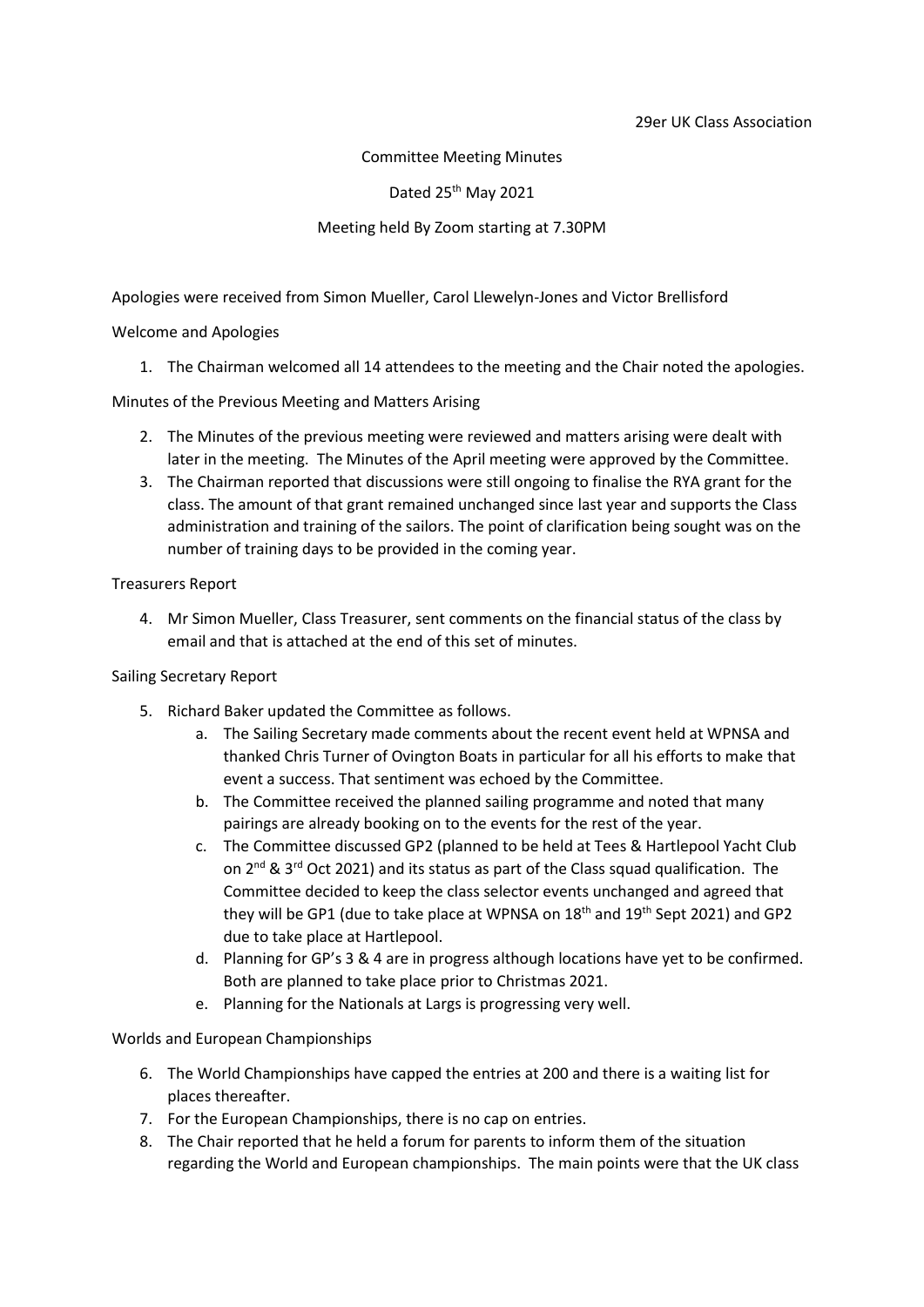Committee Meeting Minutes

Dated 25<sup>th</sup> May 2021

## Meeting held By Zoom starting at 7.30PM

Apologies were received from Simon Mueller, Carol Llewelyn-Jones and Victor Brellisford

Welcome and Apologies

1. The Chairman welcomed all 14 attendees to the meeting and the Chair noted the apologies.

Minutes of the Previous Meeting and Matters Arising

- 2. The Minutes of the previous meeting were reviewed and matters arising were dealt with later in the meeting. The Minutes of the April meeting were approved by the Committee.
- 3. The Chairman reported that discussions were still ongoing to finalise the RYA grant for the class. The amount of that grant remained unchanged since last year and supports the Class administration and training of the sailors. The point of clarification being sought was on the number of training days to be provided in the coming year.

Treasurers Report

4. Mr Simon Mueller, Class Treasurer, sent comments on the financial status of the class by email and that is attached at the end of this set of minutes.

Sailing Secretary Report

- 5. Richard Baker updated the Committee as follows.
	- a. The Sailing Secretary made comments about the recent event held at WPNSA and thanked Chris Turner of Ovington Boats in particular for all his efforts to make that event a success. That sentiment was echoed by the Committee.
	- b. The Committee received the planned sailing programme and noted that many pairings are already booking on to the events for the rest of the year.
	- c. The Committee discussed GP2 (planned to be held at Tees & Hartlepool Yacht Club on 2nd & 3rd Oct 2021) and its status as part of the Class squad qualification. The Committee decided to keep the class selector events unchanged and agreed that they will be GP1 (due to take place at WPNSA on  $18<sup>th</sup>$  and  $19<sup>th</sup>$  Sept 2021) and GP2 due to take place at Hartlepool.
	- d. Planning for GP's 3 & 4 are in progress although locations have yet to be confirmed. Both are planned to take place prior to Christmas 2021.
	- e. Planning for the Nationals at Largs is progressing very well.

Worlds and European Championships

- 6. The World Championships have capped the entries at 200 and there is a waiting list for places thereafter.
- 7. For the European Championships, there is no cap on entries.
- 8. The Chair reported that he held a forum for parents to inform them of the situation regarding the World and European championships. The main points were that the UK class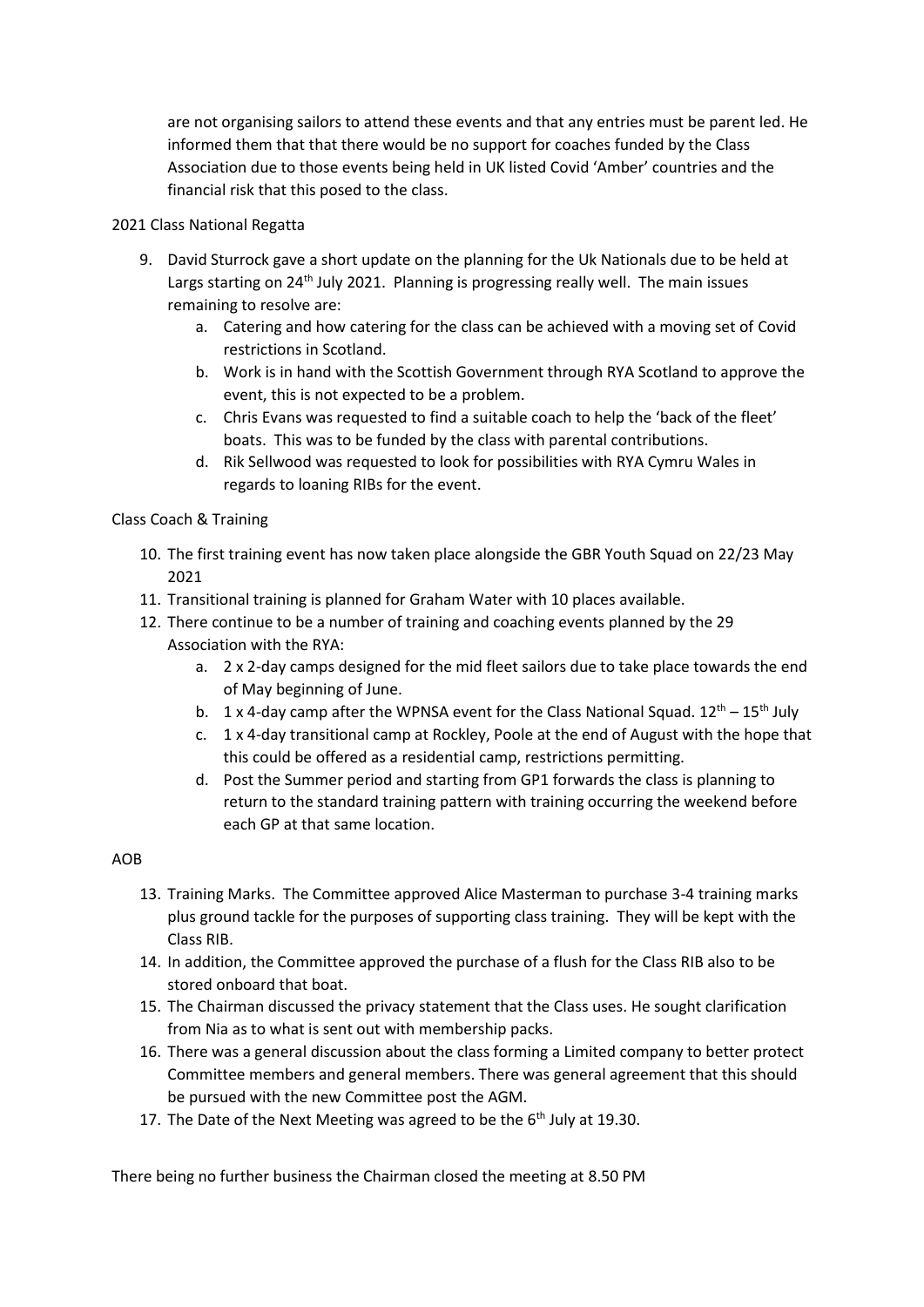are not organising sailors to attend these events and that any entries must be parent led. He informed them that that there would be no support for coaches funded by the Class Association due to those events being held in UK listed Covid 'Amber' countries and the financial risk that this posed to the class.

## 2021 Class National Regatta

- 9. David Sturrock gave a short update on the planning for the Uk Nationals due to be held at Largs starting on  $24<sup>th</sup>$  July 2021. Planning is progressing really well. The main issues remaining to resolve are:
	- a. Catering and how catering for the class can be achieved with a moving set of Covid restrictions in Scotland.
	- b. Work is in hand with the Scottish Government through RYA Scotland to approve the event, this is not expected to be a problem.
	- c. Chris Evans was requested to find a suitable coach to help the 'back of the fleet' boats. This was to be funded by the class with parental contributions.
	- d. Rik Sellwood was requested to look for possibilities with RYA Cymru Wales in regards to loaning RIBs for the event.

Class Coach & Training

- 10. The first training event has now taken place alongside the GBR Youth Squad on 22/23 May 2021
- 11. Transitional training is planned for Graham Water with 10 places available.
- 12. There continue to be a number of training and coaching events planned by the 29 Association with the RYA:
	- a. 2 x 2-day camps designed for the mid fleet sailors due to take place towards the end of May beginning of June.
	- b.  $1 \times 4$ -day camp after the WPNSA event for the Class National Squad.  $12^{th} 15^{th}$  July
	- c.  $1 \times 4$ -day transitional camp at Rockley, Poole at the end of August with the hope that this could be offered as a residential camp, restrictions permitting.
	- d. Post the Summer period and starting from GP1 forwards the class is planning to return to the standard training pattern with training occurring the weekend before each GP at that same location.

## AOB

- 13. Training Marks. The Committee approved Alice Masterman to purchase 3-4 training marks plus ground tackle for the purposes of supporting class training. They will be kept with the Class RIB.
- 14. In addition, the Committee approved the purchase of a flush for the Class RIB also to be stored onboard that boat.
- 15. The Chairman discussed the privacy statement that the Class uses. He sought clarification from Nia as to what is sent out with membership packs.
- 16. There was a general discussion about the class forming a Limited company to better protect Committee members and general members. There was general agreement that this should be pursued with the new Committee post the AGM.
- 17. The Date of the Next Meeting was agreed to be the  $6<sup>th</sup>$  July at 19.30.

There being no further business the Chairman closed the meeting at 8.50 PM